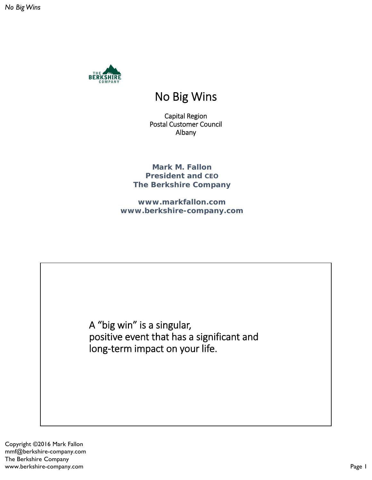

## No Big Wins

Capital Region Postal Customer Council Albany

**Mark M. Fallon President and CEO The Berkshire Company**

**www.markfallon.com www.berkshire-company.com**

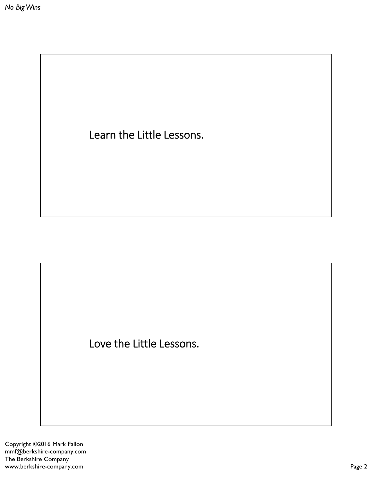Learn the Little Lessons.

Love the Little Lessons.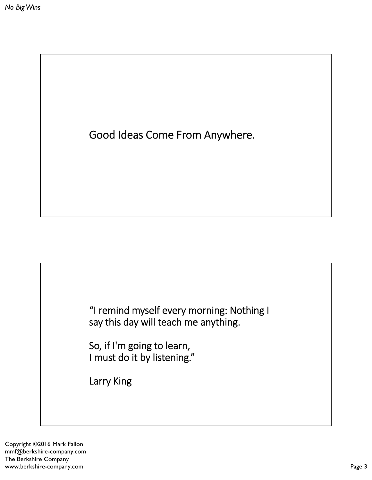



So, if I'm going to learn, I must do it by listening."

Larry King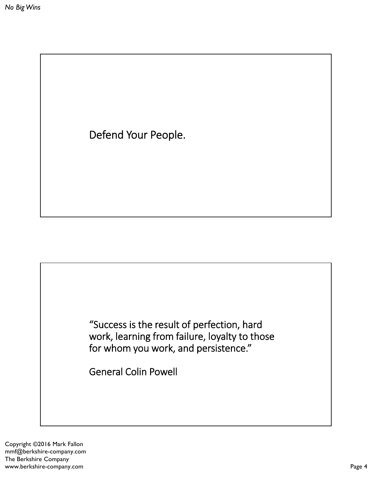Defend Your People.

"Success is the result of perfection, hard work, learning from failure, loyalty to those for whom you work, and persistence."

General Colin Powell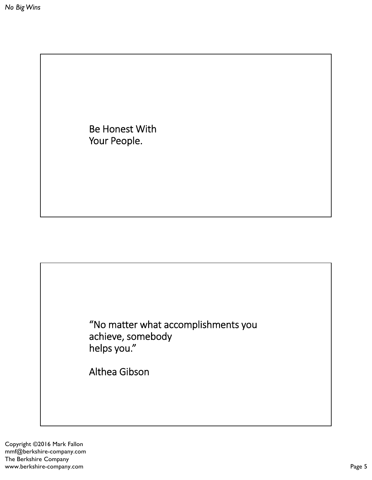Be Honest With Your People.

"No matter what accomplishments you achieve, somebody helps you."

Althea Gibson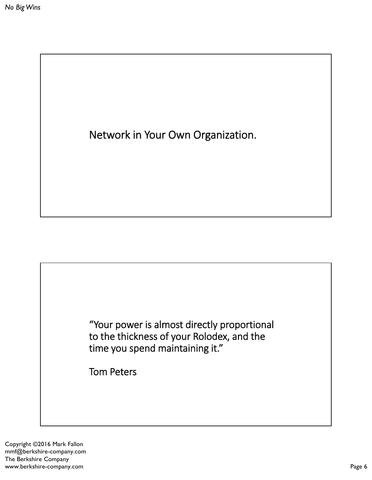Network in Your Own Organization.



Tom Peters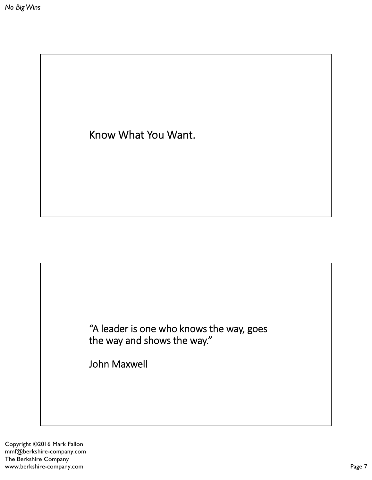Know What You Want.

"A leader is one who knows the way, goes the way and shows the way."

John Maxwell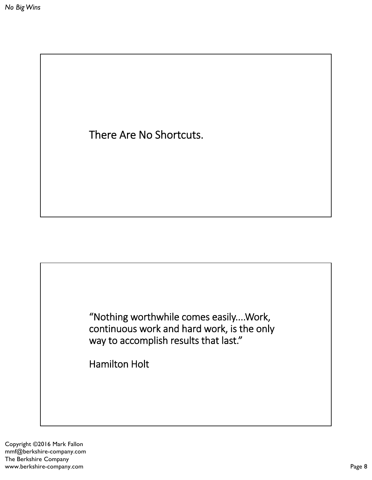There Are No Shortcuts.



Hamilton Holt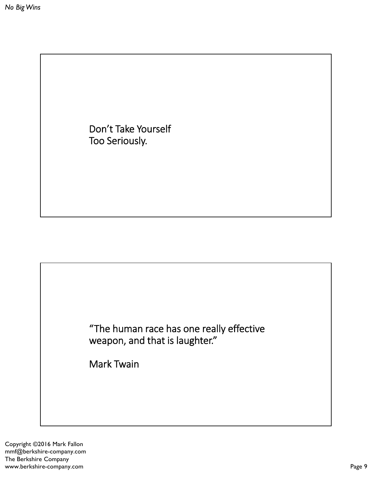Don't Take Yourself Too Seriously.



Mark Twain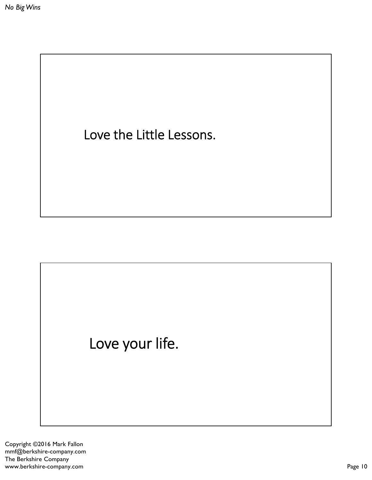Love the Little Lessons.

## Love your life.